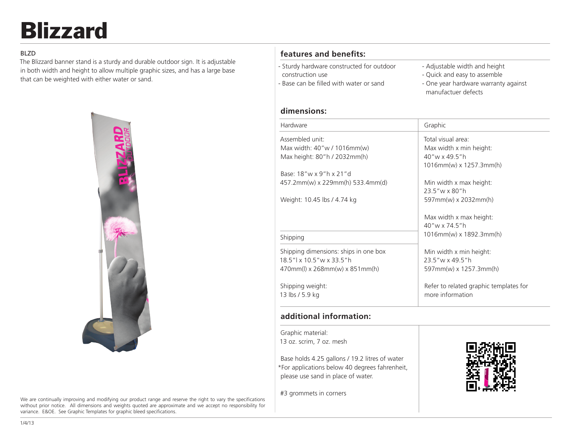# Blizzard

### BLZD

The Blizzard banner stand is a sturdy and durable outdoor sign. It is adjustable in both width and height to allow multiple graphic sizes, and has a large base that can be weighted with either water or sand.



#### We are continually improving and modifying our product range and reserve the right to vary the specifications without prior notice. All dimensions and weights quoted are approximate and we accept no responsibility for variance. E&OE. See Graphic Templates for graphic bleed specifications.

# **features and benefits:**

- Sturdy hardware constructed for outdoor construction use - Base can be filled with water or sand
- Adjustable width and height
- Quick and easy to assemble
- One year hardware warranty against manufactuer defects

## **dimensions:**

| Hardware                               | Graphic                                |
|----------------------------------------|----------------------------------------|
| Assembled unit:                        | Total visual area:                     |
| Max width: 40"w / 1016mm(w)            | Max width x min height:                |
| Max height: 80"h / 2032mm(h)           | 40"w x 49.5"h                          |
|                                        | $1016$ mm(w) x $1257.3$ mm(h)          |
| Base: $18''w \times 9''h \times 21''d$ |                                        |
| 457.2mm(w) x 229mm(h) 533.4mm(d)       | Min width x max height:                |
|                                        | 23.5"w x 80"h                          |
| Weight: 10.45 lbs / 4.74 kg            | 597mm(w) x 2032mm(h)                   |
|                                        | Max width x max height:                |
|                                        | 40"w x 74 5"h                          |
| Shipping                               | 1016mm(w) x 1892.3mm(h)                |
| Shipping dimensions: ships in one box  | Min width x min height:                |
| 18.5"   x 10.5" w x 33.5" h            | 23.5"w x 49.5"h                        |
| $470mm(l)$ x 268mm(w) x 851mm(h)       | 597mm(w) x 1257.3mm(h)                 |
|                                        |                                        |
| Shipping weight:                       | Refer to related graphic templates for |
| 13 lbs / 5.9 kg                        | more information                       |
|                                        |                                        |

# **additional information:**

Graphic material: 13 oz. scrim, 7 oz. mesh

Base holds 4.25 gallons / 19.2 litres of water \*For applications below 40 degrees fahrenheit, please use sand in place of water.

#3 grommets in corners